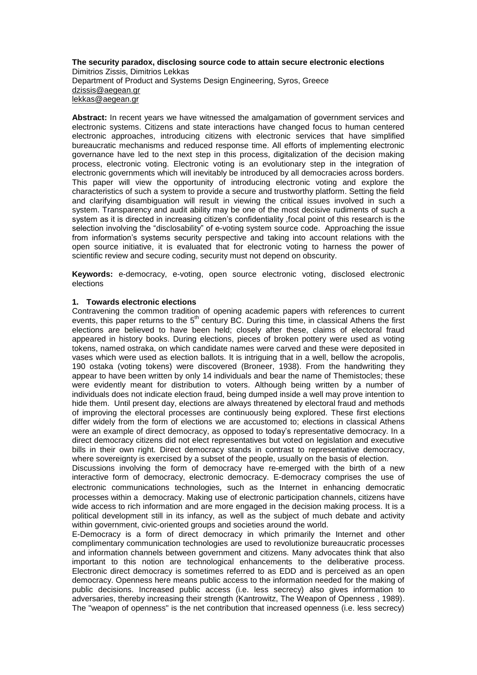## **The security paradox, disclosing source code to attain secure electronic elections** Dimitrios Zissis, Dimitrios Lekkas Department of Product and Systems Design Engineering, Syros, Greece [dzissis@aegean.gr](mailto:dzissis@aegean.gr) [lekkas@aegean.gr](mailto:lekkas@aegean.gr)

**Abstract:** In recent years we have witnessed the amalgamation of government services and electronic systems. Citizens and state interactions have changed focus to human centered electronic approaches, introducing citizens with electronic services that have simplified bureaucratic mechanisms and reduced response time. All efforts of implementing electronic governance have led to the next step in this process, digitalization of the decision making process, electronic voting. Electronic voting is an evolutionary step in the integration of electronic governments which will inevitably be introduced by all democracies across borders. This paper will view the opportunity of introducing electronic voting and explore the characteristics of such a system to provide a secure and trustworthy platform. Setting the field and clarifying disambiguation will result in viewing the critical issues involved in such a system. Transparency and audit ability may be one of the most decisive rudiments of such a system as it is directed in increasing citizen's confidentiality ,focal point of this research is the selection involving the "disclosability" of e-voting system source code. Approaching the issue from information's systems security perspective and taking into account relations with the open source initiative, it is evaluated that for electronic voting to harness the power of scientific review and secure coding, security must not depend on obscurity.

**Keywords:** e-democracy, e-voting, open source electronic voting, disclosed electronic elections

## **1. Towards electronic elections**

Contravening the common tradition of opening academic papers with references to current events, this paper returns to the  $5<sup>th</sup>$  century BC. During this time, in classical Athens the first elections are believed to have been held; closely after these, claims of electoral fraud appeared in history books. During elections, pieces of broken pottery were used as voting tokens, named ostraka, on which candidate names were carved and these were deposited in vases which were used as election ballots. It is intriguing that in a well, bellow the acropolis, 190 ostaka (voting tokens) were discovered (Broneer, 1938). From the handwriting they appear to have been written by only 14 individuals and bear the name of Themistocles; these were evidently meant for distribution to voters. Although being written by a number of individuals does not indicate election fraud, being dumped inside a well may prove intention to hide them. Until present day, elections are always threatened by electoral fraud and methods of improving the electoral processes are continuously being explored. These first elections differ widely from the form of elections we are accustomed to; elections in classical Athens were an example of direct democracy, as opposed to today's representative democracy. In a direct democracy citizens did not elect representatives but voted on legislation and executive bills in their own right. Direct democracy stands in contrast to [representative democracy,](http://en.wikipedia.org/wiki/Representative_democracy) where sovereignty is exercised by a subset of the people, usually on the basis of election.

Discussions involving the form of democracy have re-emerged with the birth of a new interactive form of democracy, electronic democracy. E-democracy comprises the use of electronic [communications](http://en.wikipedia.org/wiki/Communication) [technologies](http://en.wikipedia.org/wiki/Technologies), such as the [Internet](http://en.wikipedia.org/wiki/Internet) in enhancing democratic processes within a [democracy.](http://en.wikipedia.org/wiki/Representative_democracy) Making use of electronic participation channels, citizens have wide access to rich information and are more engaged in the decision making process. It is a political development still in its infancy, as well as the subject of much debate and activity within government, civic-oriented groups and [societies](http://en.wikipedia.org/wiki/Society) around the world.

E-Democracy is a form of direct democracy in which primarily the Internet and other complimentary communication technologies are used to revolutionize bureaucratic processes and information channels between government and citizens. Many advocates think that also important to this notion are technological enhancements to the deliberative process. Electronic direct democracy is sometimes referred to as EDD and is perceived as an open democracy. Openness here means public access to the information needed for the making of public decisions. Increased public access (i.e. less secrecy) also gives information to adversaries, thereby increasing their strength (Kantrowitz, The Weapon of Openness , 1989). The "weapon of openness" is the net contribution that increased openness (i.e. less secrecy)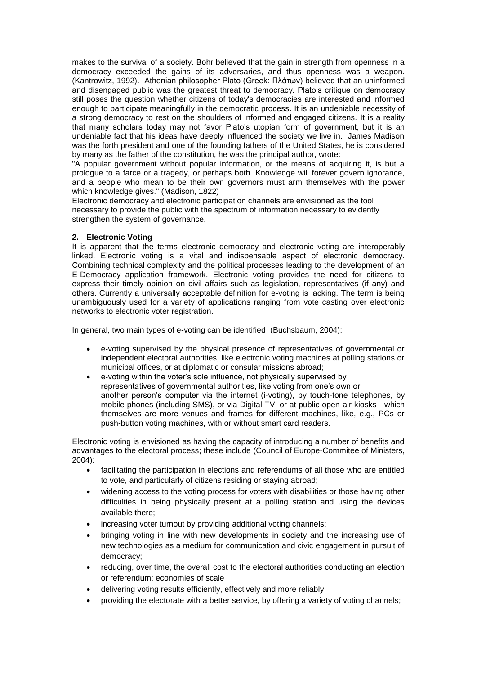makes to the survival of a society. Bohr believed that the gain in strength from openness in a democracy exceeded the gains of its adversaries, and thus openness was a weapon. (Kantrowitz, 1992). Athenian philosopher Plato (Greek: Πλάτων) believed that an uninformed and disengaged public was the greatest threat to democracy. Plato's critique on democracy still poses the question whether citizens of today's democracies are interested and informed enough to participate meaningfully in the democratic process. It is an undeniable necessity of a strong democracy to rest on the shoulders of informed and engaged citizens. It is a reality that many scholars today may not favor Plato's utopian form of government, but it is an undeniable fact that his ideas have deeply influenced the society we live in. James Madison was the forth president and one of the founding fathers of the United States, he is considered by many as the father of the constitution, he was the principal author, wrote:

"A popular government without popular information, or the means of acquiring it, is but a prologue to a farce or a tragedy, or perhaps both. Knowledge will forever govern ignorance, and a people who mean to be their own governors must arm themselves with the power which knowledge gives." (Madison, 1822)

Electronic democracy and electronic participation channels are envisioned as the tool necessary to provide the public with the spectrum of information necessary to evidently strengthen the system of governance.

## **2. Electronic Voting**

It is apparent that the terms electronic democracy and electronic voting are interoperably linked. Electronic voting is a vital and indispensable aspect of electronic democracy. Combining technical complexity and the political processes leading to the development of an E-Democracy application framework. Electronic voting provides the need for citizens to express their timely opinion on civil affairs such as legislation, representatives (if any) and others. Currently a universally acceptable definition for e-voting is lacking. The term is being unambiguously used for a variety of applications ranging from vote casting over electronic networks to electronic voter registration.

In general, two main types of e-voting can be identified (Buchsbaum, 2004):

- e-voting supervised by the physical presence of representatives of governmental or independent electoral authorities, like electronic voting machines at polling stations or municipal offices, or at diplomatic or consular missions abroad;
- e-voting within the voter's sole influence, not physically supervised by representatives of governmental authorities, like voting from one's own or another person's computer via the internet (i-voting), by touch-tone telephones, by mobile phones (including SMS), or via Digital TV, or at public open-air kiosks - which themselves are more venues and frames for different machines, like, e.g., PCs or push-button voting machines, with or without smart card readers.

Electronic voting is envisioned as having the capacity of introducing a number of benefits and advantages to the electoral process; these include (Council of Europe-Commitee of Ministers, 2004):

- facilitating the participation in elections and referendums of all those who are entitled to vote, and particularly of citizens residing or staying abroad;
- widening access to the voting process for voters with disabilities or those having other difficulties in being physically present at a polling station and using the devices available there;
- increasing voter turnout by providing additional voting channels;
- bringing voting in line with new developments in society and the increasing use of new technologies as a medium for communication and civic engagement in pursuit of democracy;
- reducing, over time, the overall cost to the electoral authorities conducting an election or referendum; economies of scale
- delivering voting results efficiently, effectively and more reliably
- providing the electorate with a better service, by offering a variety of voting channels;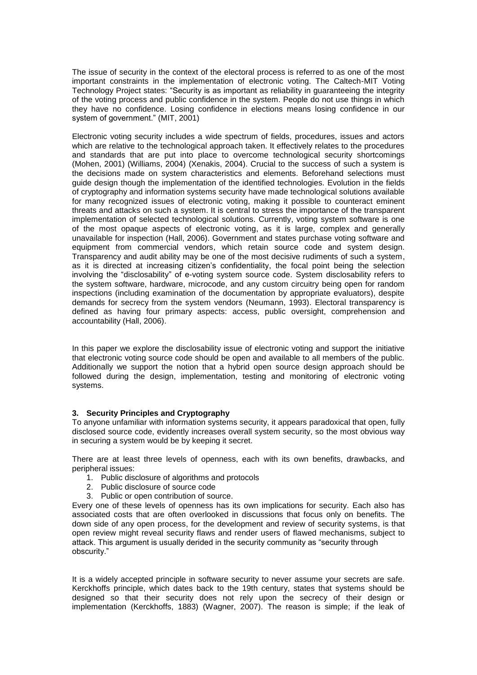The issue of security in the context of the electoral process is referred to as one of the most important constraints in the implementation of electronic voting. The Caltech-MIT Voting Technology Project states: "Security is as important as reliability in guaranteeing the integrity of the voting process and public confidence in the system. People do not use things in which they have no confidence. Losing confidence in elections means losing confidence in our system of government." (MIT, 2001)

Electronic voting security includes a wide spectrum of fields, procedures, issues and actors which are relative to the technological approach taken. It effectively relates to the procedures and standards that are put into place to overcome technological security shortcomings (Mohen, 2001) (Williams, 2004) (Xenakis, 2004). Crucial to the success of such a system is the decisions made on system characteristics and elements. Beforehand selections must guide design though the implementation of the identified technologies. Evolution in the fields of cryptography and information systems security have made technological solutions available for many recognized issues of electronic voting, making it possible to counteract eminent threats and attacks on such a system. It is central to stress the importance of the transparent implementation of selected technological solutions. Currently, voting system software is one of the most opaque aspects of electronic voting, as it is large, complex and generally unavailable for inspection (Hall, 2006). Government and states purchase voting software and equipment from commercial vendors, which retain source code and system design. Transparency and audit ability may be one of the most decisive rudiments of such a system, as it is directed at increasing citizen's confidentiality, the focal point being the selection involving the "disclosability" of e-voting system source code. System disclosability refers to the system software, hardware, microcode, and any custom circuitry being open for random inspections (including examination of the documentation by appropriate evaluators), despite demands for secrecy from the system vendors (Neumann, 1993). Electoral transparency is defined as having four primary aspects: access, public oversight, comprehension and accountability (Hall, 2006).

In this paper we explore the disclosability issue of electronic voting and support the initiative that electronic voting source code should be open and available to all members of the public. Additionally we support the notion that a hybrid open source design approach should be followed during the design, implementation, testing and monitoring of electronic voting systems.

# **3. Security Principles and Cryptography**

To anyone unfamiliar with information systems security, it appears paradoxical that open, fully disclosed source code, evidently increases overall system security, so the most obvious way in securing a system would be by keeping it secret.

There are at least three levels of openness, each with its own benefits, drawbacks, and peripheral issues:

- .<br>1. Public disclosure of algorithms and protocols
- 2. Public disclosure of source code
- 3. Public or open contribution of source.

Every one of these levels of openness has its own implications for security. Each also has associated costs that are often overlooked in discussions that focus only on benefits. The down side of any open process, for the development and review of security systems, is that open review might reveal security flaws and render users of flawed mechanisms, subject to attack. This argument is usually derided in the security community as "security through obscurity."

It is a widely accepted principle in software security to never assume your secrets are safe. Kerckhoffs principle, which dates back to the 19th century, states that systems should be designed so that their security does not rely upon the secrecy of their design or implementation (Kerckhoffs, 1883) (Wagner, 2007). The reason is simple; if the leak of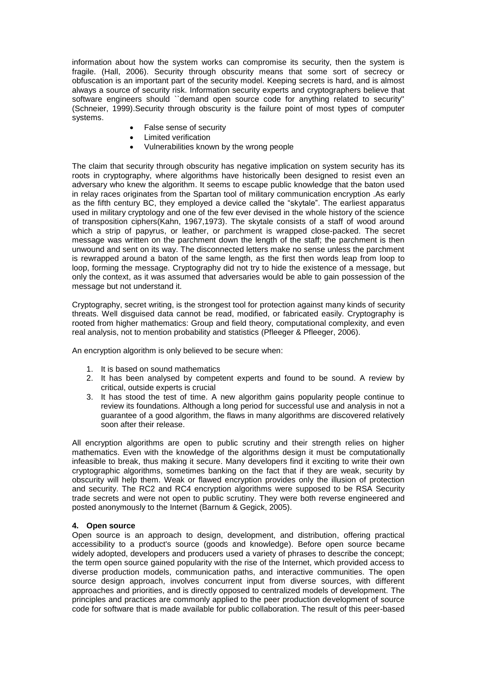information about how the system works can compromise its security, then the system is fragile. (Hall, 2006). Security through obscurity means that some sort of secrecy or obfuscation is an important part of the security model. Keeping secrets is hard, and is almost always a source of security risk. Information security experts and cryptographers believe that software engineers should ``demand open source code for anything related to security'' (Schneier, 1999).Security through obscurity is the failure point of most types of computer systems.

- False sense of security
- Limited verification
- Vulnerabilities known by the wrong people

The claim that security through obscurity has negative implication on system security has its roots in cryptography, where algorithms have historically been designed to resist even an adversary who knew the algorithm. It seems to escape public knowledge that the baton used in relay races originates from the Spartan tool of military communication encryption .As early as the fifth century BC, they employed a device called the "skytale". The earliest apparatus used in military cryptology and one of the few ever devised in the whole history of the science of transposition ciphers(Kahn, 1967,1973). The skytale consists of a staff of wood around which a strip of papyrus, or leather, or parchment is wrapped close-packed. The secret message was written on the parchment down the length of the staff; the parchment is then unwound and sent on its way. The disconnected letters make no sense unless the parchment is rewrapped around a baton of the same length, as the first then words leap from loop to loop, forming the message. Cryptography did not try to hide the existence of a message, but only the context, as it was assumed that adversaries would be able to gain possession of the message but not understand it.

Cryptography, secret writing, is the strongest tool for protection against many kinds of security threats. Well disguised data cannot be read, modified, or fabricated easily. Cryptography is rooted from higher mathematics: Group and field theory, computational complexity, and even real analysis, not to mention probability and statistics (Pfleeger & Pfleeger, 2006).

An encryption algorithm is only believed to be secure when:

- 1. It is based on sound mathematics
- 2. It has been analysed by competent experts and found to be sound. A review by critical, outside experts is crucial
- 3. It has stood the test of time. A new algorithm gains popularity people continue to review its foundations. Although a long period for successful use and analysis in not a guarantee of a good algorithm, the flaws in many algorithms are discovered relatively soon after their release.

All encryption algorithms are open to public scrutiny and their strength relies on higher mathematics. Even with the knowledge of the algorithms design it must be computationally infeasible to break, thus making it secure. Many developers find it exciting to write their own cryptographic algorithms, sometimes banking on the fact that if they are weak, security by obscurity will help them. Weak or flawed encryption provides only the illusion of protection and security. The RC2 and RC4 encryption algorithms were supposed to be RSA Security trade secrets and were not open to public scrutiny. They were both reverse engineered and posted anonymously to the Internet (Barnum & Gegick, 2005).

#### **4. Open source**

Open source is an approach to design, development, and distribution, offering practical accessibility to a product's source (goods and knowledge). Before open source became widely adopted, developers and producers used a variety of phrases to describe the concept; the term open source gained popularity with the rise of the Internet, which provided access to diverse production models, communication paths, and interactive communities. The open source design approach, involves concurrent input from diverse sources, with different approaches and priorities, and is directly opposed to centralized models of development. The principles and practices are commonly applied to the peer production development of source code for software that is made available for public collaboration. The result of this peer-based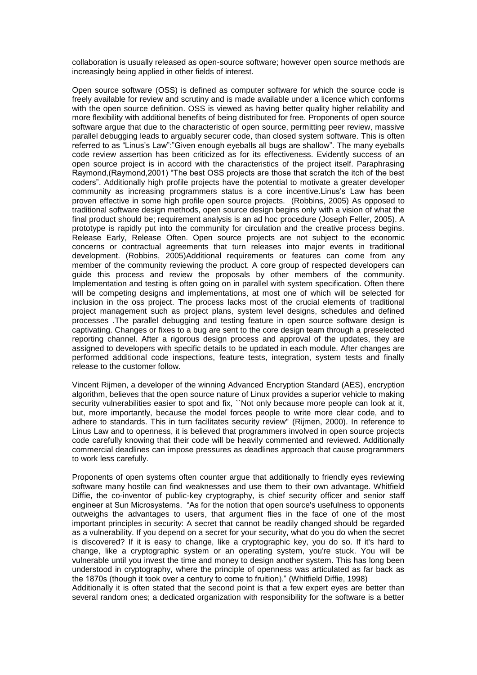collaboration is usually released as open-source software; however open source methods are increasingly being applied in other fields of interest.

Open source software (OSS) is defined as computer software for which the source code is freely available for review and scrutiny and is made available under a licence which conforms with the open source definition. OSS is viewed as having better quality higher reliability and more flexibility with additional benefits of being distributed for free. Proponents of open source software argue that due to the characteristic of open source, permitting peer review, massive parallel debugging leads to arguably securer code, than closed system software. This is often referred to as "Linus's Law":"Given enough eyeballs all bugs are shallow". The many eyeballs code review assertion has been criticized as for its effectiveness. Evidently success of an open source project is in accord with the characteristics of the project itself. Paraphrasing Raymond, (Raymond, 2001) "The best OSS projects are those that scratch the itch of the best coders". Additionally high profile projects have the potential to motivate a greater developer community as increasing programmers status is a core incentive.Linus's Law has been proven effective in some high profile open source projects. (Robbins, 2005) As opposed to traditional software design methods, open source design begins only with a vision of what the final product should be; requirement analysis is an ad hoc procedure (Joseph Feller, 2005). A prototype is rapidly put into the community for circulation and the creative process begins. Release Early, Release Often. Open source projects are not subject to the economic concerns or contractual agreements that turn releases into major events in traditional development. (Robbins, 2005)Additional requirements or features can come from any member of the community reviewing the product. A core group of respected developers can guide this process and review the proposals by other members of the community. Implementation and testing is often going on in parallel with system specification. Often there will be competing designs and implementations, at most one of which will be selected for inclusion in the oss project. The process lacks most of the crucial elements of traditional project management such as project plans, system level designs, schedules and defined processes .The parallel debugging and testing feature in open source software design is captivating. Changes or fixes to a bug are sent to the core design team through a preselected reporting channel. After a rigorous design process and approval of the updates, they are assigned to developers with specific details to be updated in each module. After changes are performed additional code inspections, feature tests, integration, system tests and finally release to the customer follow.

Vincent Rijmen, a developer of the winning Advanced Encryption Standard (AES), encryption algorithm, believes that the open source nature of Linux provides a superior vehicle to making security vulnerabilities easier to spot and fix, ``Not only because more people can look at it, but, more importantly, because the model forces people to write more clear code, and to adhere to standards. This in turn facilitates security review'' (Rijmen, 2000). In reference to Linus Law and to openness, it is believed that programmers involved in open source projects code carefully knowing that their code will be heavily commented and reviewed. Additionally commercial deadlines can impose pressures as deadlines approach that cause programmers to work less carefully.

Proponents of open systems often counter argue that additionally to friendly eyes reviewing software many hostile can find weaknesses and use them to their own advantage. Whitfield Diffie, the co-inventor of public-key cryptography, is chief security officer and senior staff engineer at Sun Microsystems. "As for the notion that open source's usefulness to opponents outweighs the advantages to users, that argument flies in the face of one of the most important principles in security: A secret that cannot be readily changed should be regarded as a vulnerability. If you depend on a secret for your security, what do you do when the secret is discovered? If it is easy to change, like a cryptographic key, you do so. If it's hard to change, like a cryptographic system or an operating system, you're stuck. You will be vulnerable until you invest the time and money to design another system. This has long been understood in cryptography, where the principle of openness was articulated as far back as the 1870s (though it took over a century to come to fruition)." (Whitfield Diffie, 1998)

Additionally it is often stated that the second point is that a few expert eyes are better than several random ones; a dedicated organization with responsibility for the software is a better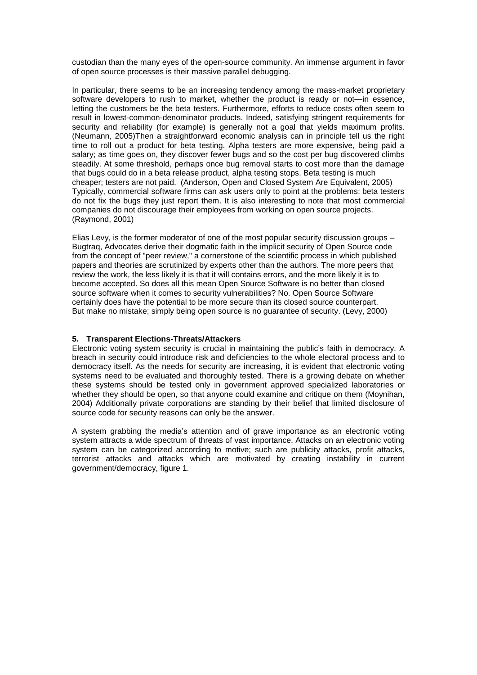custodian than the many eyes of the open-source community. An immense argument in favor of open source processes is their massive parallel debugging.

In particular, there seems to be an increasing tendency among the mass-market proprietary software developers to rush to market, whether the product is ready or not—in essence, letting the customers be the beta testers. Furthermore, efforts to reduce costs often seem to result in lowest-common-denominator products. Indeed, satisfying stringent requirements for security and reliability (for example) is generally not a goal that yields maximum profits. (Neumann, 2005)Then a straightforward economic analysis can in principle tell us the right time to roll out a product for beta testing. Alpha testers are more expensive, being paid a salary; as time goes on, they discover fewer bugs and so the cost per bug discovered climbs steadily. At some threshold, perhaps once bug removal starts to cost more than the damage that bugs could do in a beta release product, alpha testing stops. Beta testing is much cheaper; testers are not paid. (Anderson, Open and Closed System Are Equivalent, 2005) Typically, commercial software firms can ask users only to point at the problems: beta testers do not fix the bugs they just report them. It is also interesting to note that most commercial companies do not discourage their employees from working on open source projects. (Raymond, 2001)

Elias Levy, is the former moderator of one of the most popular security discussion groups – Bugtraq, Advocates derive their dogmatic faith in the implicit security of Open Source code from the concept of "peer review," a cornerstone of the scientific process in which published papers and theories are scrutinized by experts other than the authors. The more peers that review the work, the less likely it is that it will contains errors, and the more likely it is to become accepted. So does all this mean Open Source Software is no better than closed source software when it comes to security vulnerabilities? No. Open Source Software certainly does have the potential to be more secure than its closed source counterpart. But make no mistake; simply being open source is no guarantee of security. (Levy, 2000)

## **5. Transparent Elections-Threats/Attackers**

Electronic voting system security is crucial in maintaining the public's faith in democracy. A breach in security could introduce risk and deficiencies to the whole electoral process and to democracy itself. As the needs for security are increasing, it is evident that electronic voting systems need to be evaluated and thoroughly tested. There is a growing debate on whether these systems should be tested only in government approved specialized laboratories or whether they should be open, so that anyone could examine and critique on them (Moynihan, 2004) Additionally private corporations are standing by their belief that limited disclosure of source code for security reasons can only be the answer.

A system grabbing the media's attention and of grave importance as an electronic voting system attracts a wide spectrum of threats of vast importance. Attacks on an electronic voting system can be categorized according to motive; such are publicity attacks, profit attacks, terrorist attacks and attacks which are motivated by creating instability in current government/democracy, figure 1.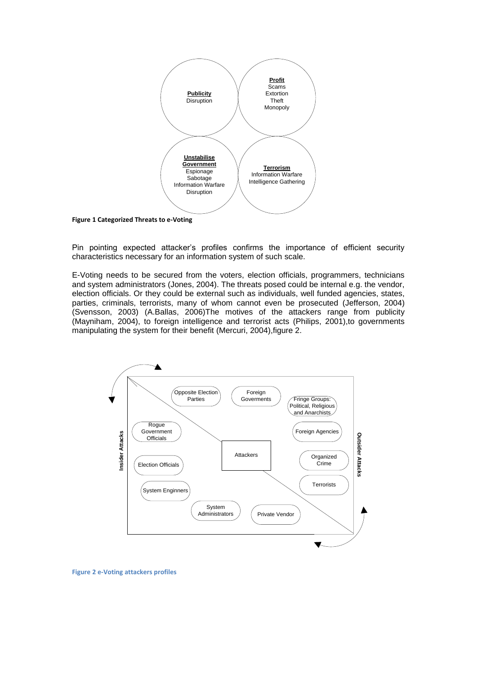

**Figure 1 Categorized Threats to e-Voting**

Pin pointing expected attacker's profiles confirms the importance of efficient security characteristics necessary for an information system of such scale.

E-Voting needs to be secured from the voters, election officials, programmers, technicians and system administrators (Jones, 2004). The threats posed could be internal e.g. the vendor, election officials. Or they could be external such as individuals, well funded agencies, states, parties, criminals, terrorists, many of whom cannot even be prosecuted (Jefferson, 2004) (Svensson, 2003) (A.Ballas, 2006)The motives of the attackers range from publicity (Mayniham, 2004), to foreign intelligence and terrorist acts (Philips, 2001),to governments manipulating the system for their benefit (Mercuri, 2004),figure 2.



**Figure 2 e-Voting attackers profiles**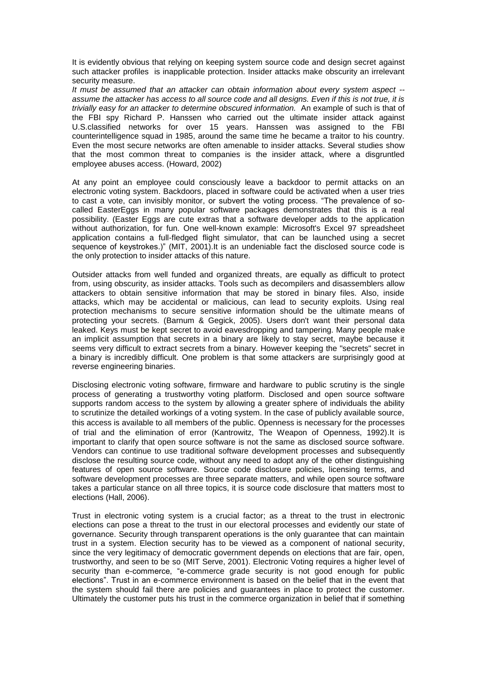It is evidently obvious that relying on keeping system source code and design secret against such attacker profiles is inapplicable protection. Insider attacks make obscurity an irrelevant security measure.

*It must be assumed that an attacker can obtain information about every system aspect - assume the attacker has access to all source code and all designs. Even if this is not true, it is trivially easy for an attacker to determine obscured information.* An example of such is that of the FBI spy Richard P. Hanssen who carried out the ultimate insider attack against U.S.classified networks for over 15 years. Hanssen was assigned to the FBI counterintelligence squad in 1985, around the same time he became a traitor to his country. Even the most secure networks are often amenable to insider attacks. Several studies show that the most common threat to companies is the insider attack, where a disgruntled employee abuses access. (Howard, 2002)

At any point an employee could consciously leave a backdoor to permit attacks on an electronic voting system. Backdoors, placed in software could be activated when a user tries to cast a vote, can invisibly monitor, or subvert the voting process. "The prevalence of socalled EasterEggs in many popular software packages demonstrates that this is a real possibility. (Easter Eggs are cute extras that a software developer adds to the application without authorization, for fun. One well-known example: Microsoft's Excel 97 spreadsheet application contains a full-fledged flight simulator, that can be launched using a secret sequence of keystrokes.)" (MIT, 2001).It is an undeniable fact the disclosed source code is the only protection to insider attacks of this nature.

Outsider attacks from well funded and organized threats, are equally as difficult to protect from, using obscurity, as insider attacks. Tools such as decompilers and disassemblers allow attackers to obtain sensitive information that may be stored in binary files. Also, inside attacks, which may be accidental or malicious, can lead to security exploits. Using real protection mechanisms to secure sensitive information should be the ultimate means of protecting your secrets. (Barnum & Gegick, 2005). Users don't want their personal data leaked. Keys must be kept secret to avoid eavesdropping and tampering. Many people make an implicit assumption that secrets in a binary are likely to stay secret, maybe because it seems very difficult to extract secrets from a binary. However keeping the "secrets" secret in a binary is incredibly difficult. One problem is that some attackers are surprisingly good at reverse engineering binaries.

Disclosing electronic voting software, firmware and hardware to public scrutiny is the single process of generating a trustworthy voting platform. Disclosed and open source software supports random access to the system by allowing a greater sphere of individuals the ability to scrutinize the detailed workings of a voting system. In the case of publicly available source, this access is available to all members of the public. Openness is necessary for the processes of trial and the elimination of error (Kantrowitz, The Weapon of Openness, 1992).It is important to clarify that open source software is not the same as disclosed source software. Vendors can continue to use traditional software development processes and subsequently disclose the resulting source code, without any need to adopt any of the other distinguishing features of open source software. Source code disclosure policies, licensing terms, and software development processes are three separate matters, and while open source software takes a particular stance on all three topics, it is source code disclosure that matters most to elections (Hall, 2006).

Trust in electronic voting system is a crucial factor; as a threat to the trust in electronic elections can pose a threat to the trust in our electoral processes and evidently our state of governance. Security through transparent operations is the only guarantee that can maintain trust in a system. Election security has to be viewed as a component of national security, since the very legitimacy of democratic government depends on elections that are fair, open, trustworthy, and seen to be so (MIT Serve, 2001). Electronic Voting requires a higher level of security than e-commerce, "e-commerce grade security is not good enough for public elections". Trust in an e-commerce environment is based on the belief that in the event that the system should fail there are policies and guarantees in place to protect the customer. Ultimately the customer puts his trust in the commerce organization in belief that if something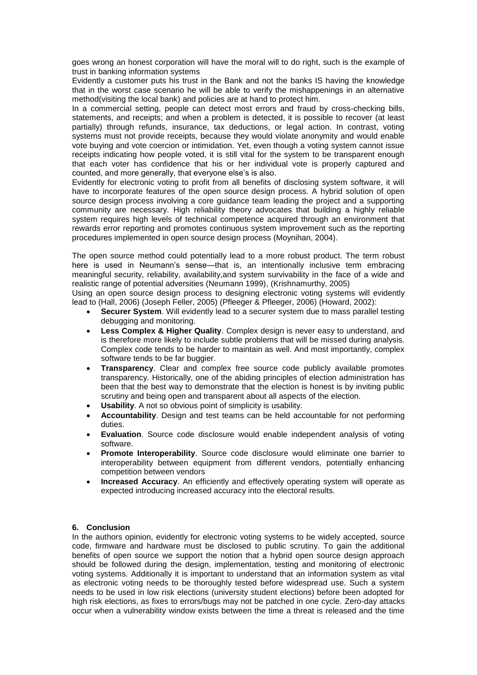goes wrong an honest corporation will have the moral will to do right, such is the example of trust in banking information systems

Evidently a customer puts his trust in the Bank and not the banks IS having the knowledge that in the worst case scenario he will be able to verify the mishappenings in an alternative method(visiting the local bank) and policies are at hand to protect him.

In a commercial setting, people can detect most errors and fraud by cross-checking bills, statements, and receipts; and when a problem is detected, it is possible to recover (at least partially) through refunds, insurance, tax deductions, or legal action. In contrast, voting systems must not provide receipts, because they would violate anonymity and would enable vote buying and vote coercion or intimidation. Yet, even though a voting system cannot issue receipts indicating how people voted, it is still vital for the system to be transparent enough that each voter has confidence that his or her individual vote is properly captured and counted, and more generally, that everyone else's is also.

Evidently for electronic voting to profit from all benefits of disclosing system software, it will have to incorporate features of the open source design process. A hybrid solution of open source design process involving a core guidance team leading the project and a supporting community are necessary. High reliability theory advocates that building a highly reliable system requires high levels of technical competence acquired through an environment that rewards error reporting and promotes continuous system improvement such as the reporting procedures implemented in open source design process (Moynihan, 2004).

The open source method could potentially lead to a more robust product. The term robust here is used in Neumann's sense—that is, an intentionally inclusive term embracing meaningful security, reliability, availability,and system survivability in the face of a wide and realistic range of potential adversities (Neumann 1999), (Krishnamurthy, 2005)

Using an open source design process to designing electronic voting systems will evidently lead to (Hall, 2006) (Joseph Feller, 2005) (Pfleeger & Pfleeger, 2006) (Howard, 2002):

- **Securer System**. Will evidently lead to a securer system due to mass parallel testing debugging and monitoring.
- **Less Complex & Higher Quality**. Complex design is never easy to understand, and is therefore more likely to include subtle problems that will be missed during analysis. Complex code tends to be harder to maintain as well. And most importantly, complex software tends to be far buggier.
- **Transparency**. Clear and complex free source code publicly available promotes transparency. Historically, one of the abiding principles of election administration has been that the best way to demonstrate that the election is honest is by inviting public scrutiny and being open and transparent about all aspects of the election.
- **Usability**. A not so obvious point of simplicity is usability.
- **Accountability**. Design and test teams can be held accountable for not performing duties.
- **Evaluation**. Source code disclosure would enable independent analysis of voting software.
- **Promote Interoperability**. Source code disclosure would eliminate one barrier to interoperability between equipment from different vendors, potentially enhancing competition between vendors
- **Increased Accuracy**. An efficiently and effectively operating system will operate as expected introducing increased accuracy into the electoral results.

#### **6. Conclusion**

In the authors opinion, evidently for electronic voting systems to be widely accepted, source code, firmware and hardware must be disclosed to public scrutiny. To gain the additional benefits of open source we support the notion that a hybrid open source design approach should be followed during the design, implementation, testing and monitoring of electronic voting systems. Additionally it is important to understand that an information system as vital as electronic voting needs to be thoroughly tested before widespread use. Such a system needs to be used in low risk elections (university student elections) before been adopted for high risk elections, as fixes to errors/bugs may not be patched in one cycle. Zero-day attacks occur when a vulnerability window exists between the time a threat is released and the time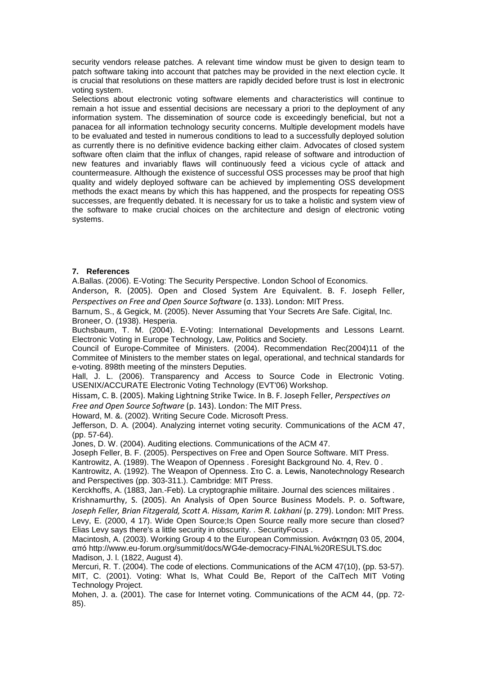security vendors release patches. A relevant time window must be given to design team to patch software taking into account that patches may be provided in the next election cycle. It is crucial that resolutions on these matters are rapidly decided before trust is lost in electronic voting system.

Selections about electronic voting software elements and characteristics will continue to remain a hot issue and essential decisions are necessary a priori to the deployment of any information system. The dissemination of source code is exceedingly beneficial, but not a panacea for all information technology security concerns. Multiple development models have to be evaluated and tested in numerous conditions to lead to a successfully deployed solution as currently there is no definitive evidence backing either claim. Advocates of closed system software often claim that the influx of changes, rapid release of software and introduction of new features and invariably flaws will continuously feed a vicious cycle of attack and countermeasure. Although the existence of successful OSS processes may be proof that high quality and widely deployed software can be achieved by implementing OSS development methods the exact means by which this has happened, and the prospects for repeating OSS successes, are frequently debated. It is necessary for us to take a holistic and system view of the software to make crucial choices on the architecture and design of electronic voting systems.

## **7. References**

A.Ballas. (2006). E-Voting: The Security Perspective. London School of Economics.

Anderson, R. (2005). Open and Closed System Are Equivalent. B. F. Joseph Feller, *Perspectives on Free and Open Source Software* (σ. 133). London: MIT Press.

Barnum, S., & Gegick, M. (2005). Never Assuming that Your Secrets Are Safe. Cigital, Inc. Broneer, O. (1938). Hesperia.

Buchsbaum, T. M. (2004). E-Voting: International Developments and Lessons Learnt. Electronic Voting in Europe Technology, Law, Politics and Society.

Council of Europe-Commitee of Ministers. (2004). Recommendation Rec(2004)11 of the Commitee of Ministers to the member states on legal, operational, and technical standards for e-voting. 898th meeting of the minsters Deputies.

Hall, J. L. (2006). Transparency and Access to Source Code in Electronic Voting. USENIX/ACCURATE Electronic Voting Technology (EVT'06) Workshop.

Hissam, C. B. (2005). Making Lightning Strike Twice. In B. F. Joseph Feller, *Perspectives on* 

*Free and Open Source Software* (p. 143). London: The MIT Press.

Howard, M. &. (2002). Writing Secure Code. Microsoft Press.

Jefferson, D. A. (2004). Analyzing internet voting security. Communications of the ACM 47, (pp. 57-64).

Jones, D. W. (2004). Auditing elections. Communications of the ACM 47.

Joseph Feller, B. F. (2005). Perspectives on Free and Open Source Software. MIT Press.

Kantrowitz, A. (1989). The Weapon of Openness . Foresight Background No. 4, Rev. 0 .

Kantrowitz, A. (1992). The Weapon of Openness. Στο C. a. Lewis, Nanotechnology Research and Perspectives (pp. 303-311.). Cambridge: MIT Press.

Kerckhoffs, A. (1883, Jan.-Feb). La cryptographie militaire. Journal des sciences militaires .

Krishnamurthy, S. (2005). An Analysis of Open Source Business Models. P. o. Software, *Joseph Feller, Brian Fitzgerald, Scott A. Hissam, Karim R. Lakhani* (p. 279). London: MIT Press.

Levy, E. (2000, 4 17). Wide Open Source;Is Open Source really more secure than closed? Elias Levy says there's a little security in obscurity. . SecurityFocus .

Macintosh, A. (2003). Working Group 4 to the European Commission. Ανάκτηση 03 05, 2004, από http://www.eu-forum.org/summit/docs/WG4e-democracy-FINAL%20RESULTS.doc Madison, J. l. (1822, August 4).

Mercuri, R. T. (2004). The code of elections. Communications of the ACM 47(10), (pp. 53-57). MIT, C. (2001). Voting: What Is, What Could Be, Report of the CalTech MIT Voting Technology Project.

Mohen, J. a. (2001). The case for Internet voting. Communications of the ACM 44, (pp. 72- 85).